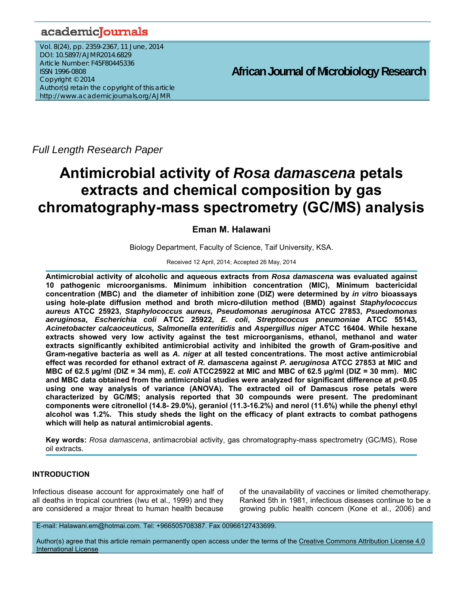## academicJournals

Vol. 8(24), pp. 2359-2367, 11 June, 2014 DOI: 10.5897/AJMR2014.6829 Article Number: F45F80445336 ISSN 1996-0808 Copyright © 2014 Author(s) retain the copyright of this article http://www.academicjournals.org/AJMR

**African Journal of Microbiology Research**

*Full Length Research Paper* 

# **Antimicrobial activity of** *Rosa damascena* **petals extracts and chemical composition by gas chromatography-mass spectrometry (GC/MS) analysis**

## **Eman M. Halawani**

Biology Department, Faculty of Science, Taif University, KSA.

Received 12 April, 2014; Accepted 26 May, 2014

**Antimicrobial activity of alcoholic and aqueous extracts from** *Rosa damascena* **was evaluated against 10 pathogenic microorganisms. Minimum inhibition concentration (MIC), Minimum bactericidal concentration (MBC) and the diameter of inhibition zone (DIZ) were determined by** *in vitro* **bioassays using hole-plate diffusion method and broth micro-dilution method (BMD) against** *Staphylococcus aureus* **ATCC 25923,** *Staphylococcus aureus, Pseudomonas aeruginosa* **ATCC 27853,** *Psuedomonas aeruginosa***,** *Escherichia coli* **ATCC 25922,** *E. coli***,** *Streptococcus pneumoniae* **ATCC 55143***, Acinetobacter calcaoceuticus, Salmonella enteritidis* **and** *Aspergillus niger* **ATCC 16404. While hexane extracts showed very low activity against the test microorganisms, ethanol, methanol and water extracts significantly exhibited antimicrobial activity and inhibited the growth of Gram-positive and Gram-negative bacteria as well as** *A. niger* **at all tested concentrations. The most active antimicrobial effect was recorded for ethanol extract of** *R. damascena* **against** *P. aeruginosa* **ATCC 27853 at MIC and MBC of 62.5 µg/ml (DIZ = 34 mm),** *E. coli* **ATCC25922 at MIC and MBC of 62.5 µg/ml (DIZ = 30 mm). MIC and MBC data obtained from the antimicrobial studies were analyzed for significant difference at** *p***<0.05 using one way analysis of variance (ANOVA). The extracted oil of Damascus rose petals were characterized by GC/MS; analysis reported that 30 compounds were present. The predominant components were citronellol (14.8- 29.0%), geraniol (11.3-16.2%) and nerol (11.6%) while the phenyl ethyl alcohol was 1.2%. This study sheds the light on the efficacy of plant extracts to combat pathogens which will help as natural antimicrobial agents.** 

**Key words:** *Rosa damascena*, antimacrobial activity, gas chromatography-mass spectrometry (GC/MS), Rose oil extracts.

## **INTRODUCTION**

Infectious disease account for approximately one half of all deaths in tropical countries (Iwu et al., 1999) and they are considered a major threat to human health because

of the unavailability of vaccines or limited chemotherapy. Ranked 5th in 1981, infectious diseases continue to be a growing public health concern (Kone et al., 2006) and

E-mail: Halawani.em@hotmai.com. Tel: +966505708387. Fax 00966127433699.

Author(s) agree that this article remain permanently open access under the terms of the Creative Commons Attribution License 4.0 International License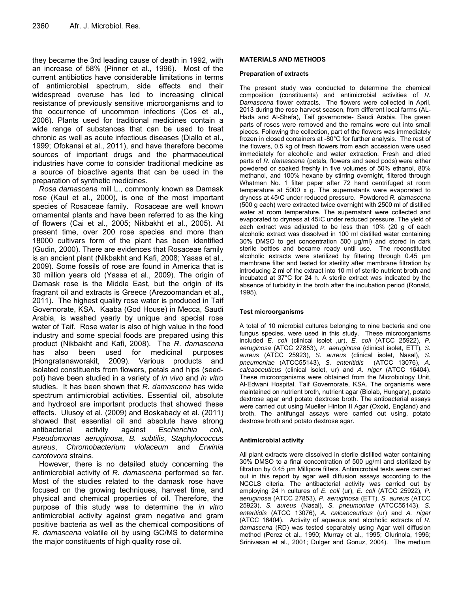they became the 3rd leading cause of death in 1992, with an increase of 58% (Pinner et al., 1996). Most of the current antibiotics have considerable limitations in terms of antimicrobial spectrum, side effects and their widespread overuse has led to increasing clinical resistance of previously sensitive microorganisms and to the occurrence of uncommon infections (Cos et al., 2006). Plants used for traditional medicines contain a wide range of substances that can be used to treat chronic as well as acute infectious diseases (Diallo et al., 1999; Ofokansi et al., 2011), and have therefore become sources of important drugs and the pharmaceutical industries have come to consider traditional medicine as a source of bioactive agents that can be used in the preparation of synthetic medicines.

*Rosa damascena* mill L., commonly known as Damask rose (Kaul et al., 2000), is one of the most important species of Rosaceae family. Rosaceae are well known ornamental plants and have been referred to as the king of flowers (Cai et al., 2005; Nikbakht et al., 2005). At present time, over 200 rose species and more than 18000 cultivars form of the plant has been identified (Gudin, 2000). There are evidences that Rosaceae family is an ancient plant (Nikbakht and Kafi, 2008; Yassa et al., 2009). Some fossils of rose are found in America that is 30 million years old (Yassa et al., 2009). The origin of Damask rose is the Middle East, but the origin of its fragrant oil and extracts is Greece (Arezoomandan et al., 2011). The highest quality rose water is produced in Taif Governorate, KSA. Kaaba (God House) in Mecca, Saudi Arabia, is washed yearly by unique and special rose water of Taif. Rose water is also of high value in the food industry and some special foods are prepared using this product (Nikbakht and Kafi, 2008). The *R. damascena*  has also been used for medicinal purposes (Hongratanaworakit, 2009). Various products and isolated constituents from flowers, petals and hips (seedpot) have been studied in a variety of *in vivo* and *in vitro*  studies. It has been shown that *R. damascena* has wide spectrum antimicrobial activities. Essential oil, absolute and hydrosol are important products that showed these effects. Ulusoy et al. (2009) and Boskabady et al. (2011) showed that essential oil and absolute have strong antibacterial activity against *Escherichia coli*, *Pseudomonas aeruginosa*, *B. subtilis*, *Staphylococcus aureus*, *Chromobacterium violaceum* and *Erwinia carotovora* strains.

However, there is no detailed study concerning the antimicrobial activity of *R. damascena* performed so far. Most of the studies related to the damask rose have focused on the growing techniques, harvest time, and physical and chemical properties of oil. Therefore, the purpose of this study was to determine the *in vitro* antimicrobial activity against gram negative and gram positive bacteria as well as the chemical compositions of *R. damascena* volatile oil by using GC/MS to determine the major constituents of high quality rose oil.

#### **MATERIALS AND METHODS**

#### **Preparation of extracts**

The present study was conducted to determine the chemical composition (constituents) and antimicrobial activities of *R. Damascena* flower extracts. The flowers were collected in April, 2013 during the rose harvest season, from different local farms (AL-Hada and Al-Shefa), Taif governorate- Saudi Arabia. The green parts of roses were removed and the remains were cut into small pieces. Following the collection, part of the flowers was immediately frozen in closed containers at -80°C for further analysis. The rest of the flowers, 0.5 kg of fresh flowers from each accession were used immediately for alcoholic and water extraction. Fresh and dried parts of *R. damascena* (petals, flowers and seed pods) were either powdered or soaked freshly in five volumes of 50% ethanol, 80% methanol, and 100% hexane by stirring overnight, filtered through Whatman No. 1 filter paper after 72 hand centrifuged at room temperature at 5000 x g. The supernatants were evaporated to dryness at 45؛C under reduced pressure. Powdered *R. damascena* (500 g each) were extracted twice overnight with 2500 ml of distilled water at room temperature. The supernatant were collected and evaporated to dryness at 45؛C under reduced pressure. The yield of each extract was adjusted to be less than 10% (20 g of each alcoholic extract was dissolved in 100 ml distilled water containing 30% DMSO to get concentration 500 µg/ml) and stored in dark sterile bottles and became ready until use. The reconstituted alcoholic extracts were sterilized by filtering through 0.45 μm membrane filter and tested for sterility after membrane filtration by introducing 2 ml of the extract into 10 ml of sterile nutrient broth and incubated at 37°C for 24 h. A sterile extract was indicated by the absence of turbidity in the broth after the incubation period (Ronald, 1995).

#### **Test microorganisms**

A total of 10 microbial cultures belonging to nine bacteria and one fungus species, were used in this study. These microorganisms included *E. coli* (clinical isolet ,ur), *E. coli* (ATCC 25922), *P. aeruginosa* (ATCC 27853), *P. aeruginosa* (clinical isolet, ETT), *S. aureus* (ATCC 25923), *S. aureus* (clinical isolet, Nasal), *S. pneumoniae* (ATCC55143), *S. enteritidis* (ATCC 13076), *A. calcaoceuticus* (clinical isolet, ur) and *A. niger* (ATCC 16404). These microorganisms were obtained from the Microbiology Unit, Al-Edwani Hospital, Taif Governorate, KSA. The organisms were maintained on nutrient broth, nutrient agar (Biolab, Hungary), potato dextrose agar and potato dextrose broth. The antibacterial assays were carried out using Mueller Hinton II Agar (Oxoid, England) and broth. The antifungal assays were carried out using, potato dextrose broth and potato dextrose agar.

#### **Antimicrobial activity**

All plant extracts were dissolved in sterile distilled water containing 30% DMSO to a final concentration of 500 µg/ml and sterilized by filtration by 0.45 µm Millipore filters. Antimicrobial tests were carried out in this report by agar well diffusion assays according to the NCCLS citeria. The antibacterial activity was carried out by employing 24 h cultures of *E. coli* (ur), *E. coli* (ATCC 25922), *P. aeruginosa* (ATCC 27853), *P. aeruginosa* (ETT), *S. aureus* (ATCC 25923), *S. aureus* (Nasal), *S. pneumoniae* (ATCC55143), *S. enteritidis* (ATCC 13076), *A. calcaoceuticus* (ur) and *A. niger* (ATCC 16404). Activity of aqueous and alcoholic extracts of *R. damascena* (RD) was tested separately using Agar well diffusion method (Perez et al., 1990; Murray et al., 1995; Olurinola, 1996; Srinivasan et al., 2001; Dulger and Gonuz, 2004). The medium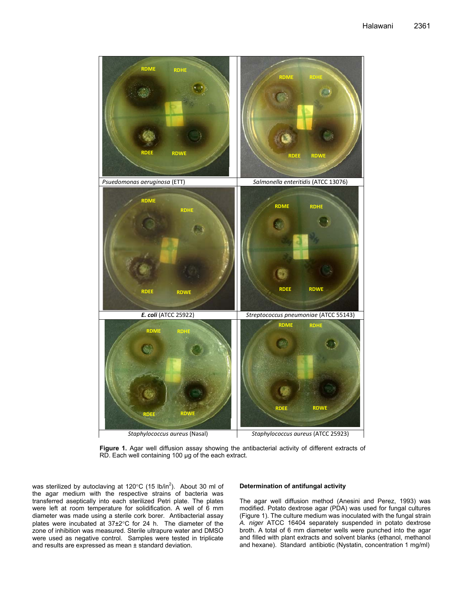

**Figure 1.** Agar well diffusion assay showing the antibacterial activity of different extracts of RD. Each well containing 100 µg of the each extract.

was sterilized by autoclaving at 120 $\degree$ C (15 lb/in<sup>2</sup>). About 30 ml of the agar medium with the respective strains of bacteria was transferred aseptically into each sterilized Petri plate. The plates were left at room temperature for solidification. A well of 6 mm diameter was made using a sterile cork borer. Antibacterial assay plates were incubated at  $37\pm2^{\circ}$ C for 24 h. The diameter of the zone of inhibition was measured. Sterile ultrapure water and DMSO were used as negative control. Samples were tested in triplicate and results are expressed as mean ± standard deviation.

#### **Determination of antifungal activity**

The agar well diffusion method (Anesini and Perez, 1993) was modified. Potato dextrose agar (PDA) was used for fungal cultures (Figure 1). The culture medium was inoculated with the fungal strain *A. niger* ATCC 16404 separately suspended in potato dextrose broth. A total of 6 mm diameter wells were punched into the agar and filled with plant extracts and solvent blanks (ethanol, methanol and hexane). Standard antibiotic (Nystatin, concentration 1 mg/ml)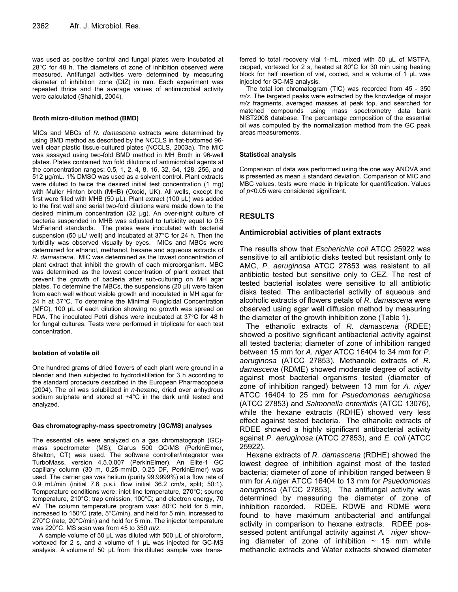was used as positive control and fungal plates were incubated at  $28^{\circ}$ C for 48 h. The diameters of zone of inhibition observed were measured. Antifungal activities were determined by measuring diameter of inhibition zone (DIZ) in mm. Each experiment was repeated thrice and the average values of antimicrobial activity were calculated (Shahidi, 2004).

#### **Broth micro-dilution method (BMD)**

MICs and MBCs of *R. damascena* extracts were determined by using BMD method as described by the NCCLS in flat-bottomed 96 well clear plastic tissue-cultured plates (NCCLS, 2003a). The MIC was assayed using two-fold BMD method in MH Broth in 96-well plates. Plates contained two fold dilutions of antimicrobial agents at the concentration ranges: 0.5, 1, 2, 4, 8, 16, 32, 64, 128, 256, and 512 μg/mL. 1% DMSO was used as a solvent control. Plant extracts were diluted to twice the desired initial test concentration (1 mg) with Muller Hinton broth (MHB) (Oxoid, UK). All wells, except the first were filled with MHB (50 μL). Plant extract (100 μL) was added to the first well and serial two-fold dilutions were made down to the desired minimum concentration (32 μg). An over-night culture of bacteria suspended in MHB was adjusted to turbidity equal to 0.5 McFarland standards. The plates were inoculated with bacterial suspension (50 μL/ well) and incubated at 37°C for 24 h. Then the turbidity was observed visually by eyes. MICs and MBCs were determined for ethanol, methanol, hexane and aqueous extracts of *R. damascena*. MIC was determined as the lowest concentration of plant extract that inhibit the growth of each microorganism. MBC was determined as the lowest concentration of plant extract that prevent the growth of bacteria after sub-culturing on MH agar plates. To determine the MBCs, the suspensions (20 μl) were taken from each well without visible growth and inoculated in MH agar for 24 h at  $37^{\circ}$ C. To determine the Minimal Fungicidal Concentration (MFC), 100 μL of each dilution showing no growth was spread on PDA. The inoculated Petri dishes were incubated at 37°C for 48 h for fungal cultures. Tests were performed in triplicate for each test concentration.

#### **Isolation of volatile oil**

One hundred grams of dried flowers of each plant were ground in a blender and then subjected to hydrodistillation for 3 h according to the standard procedure described in the European Pharmacopoeia (2004). The oil was solubilized in *n*-hexane, dried over anhydrous sodium sulphate and stored at +4°C in the dark until tested and analyzed.

#### **Gas chromatography-mass spectrometry (GC/MS) analyses**

The essential oils were analyzed on a gas chromatograph (GC) mass spectrometer (MS); Clarus 500 GC/MS (PerkinElmer, Shelton, CT) was used. The software controller/integrator was TurboMass, version 4.5.0.007 (PerkinElmer). An Elite-1 GC capillary column (30 m, 0.25-mmID, 0.25 DF, PerkinElmer) was used. The carrier gas was helium (purity 99.9999%) at a flow rate of 0.9 mL/min (initial 7.6 p.s.i. flow initial 36.2 cm/s, split; 50:1). Temperature conditions were: inlet line temperature, 270°C; source temperature, 210°C; trap emission, 100°C; and electron energy, 70 eV. The column temperature program was: 80°C hold for 5 min, increased to 150°C (rate, 5°C/min), and held for 5 min, increased to 270°C (rate, 20°C/min) and hold for 5 min. The injector temperature was 220°C. MS scan was from 45 to 350 *m/z*.

A sample volume of 50 µL was diluted with 500 µL of chloroform, vortexed for 2 s, and a volume of 1 µL was injected for GC-MS analysis. A volume of 50 µL from this diluted sample was transferred to total recovery vial 1-mL, mixed with 50 µL of MSTFA, capped, vortexed for 2 s, heated at 80°C for 30 min using heating block for half insertion of vial, cooled, and a volume of 1 µL was injected for GC-MS analysis.

The total ion chromatogram (TIC) was recorded from 45 - 350 *m/z*. The targeted peaks were extracted by the knowledge of major *m/z* fragments, averaged masses at peak top, and searched for matched compounds using mass spectrometry data bank NIST2008 database. The percentage composition of the essential oil was computed by the normalization method from the GC peak areas measurements.

#### **Statistical analysis**

Comparison of data was performed using the one way ANOVA and is presented as mean ± standard deviation. Comparison of MIC and MBC values, tests were made in triplicate for quantification. Values of *p*<0.05 were considered significant.

## **RESULTS**

#### **Antimicrobial activities of plant extracts**

The results show that *Escherichia coli* ATCC 25922 was sensitive to all antibiotic disks tested but resistant only to AMC, *P. aeruginosa* ATCC 27853 was resistant to all antibiotic tested but sensitive only to CEZ. The rest of tested bacterial isolates were sensitive to all antibiotic disks tested. The antibacterial activity of aqueous and alcoholic extracts of flowers petals of *R. damascena* were observed using agar well diffusion method by measuring the diameter of the growth inhibition zone (Table 1).

The ethanolic extracts of *R. damascena* (RDEE) showed a positive significant antibacterial activity against all tested bacteria; diameter of zone of inhibition ranged between 15 mm for *A. niger* ATCC 16404 to 34 mm for *P. aeruginosa* (ATCC 27853). Methanolic extracts of *R. damascena* (RDME) showed moderate degree of activity against most bacterial organisms tested (diameter of zone of inhibition ranged) between 13 mm for *A. niger* ATCC 16404 to 25 mm for *Psuedomonas aeruginosa* (ATCC 27853) and *Salmonella enteritidis* (ATCC 13076), while the hexane extracts (RDHE) showed very less effect against tested bacteria. The ethanolic extracts of RDEE showed a highly significant antibacterial activity against *P. aeruginosa* (ATCC 27853), and *E. coli* (ATCC 25922).

Hexane extracts of *R. damascena* (RDHE) showed the lowest degree of inhibition against most of the tested bacteria; diameter of zone of inhibition ranged between 9 mm for *A.niger* ATCC 16404 to 13 mm for *Psuedomonas aeruginosa* (ATCC 27853). The antifungal activity was determined by measuring the diameter of zone of inhibition recorded. RDEE, RDWE and RDME were found to have maximum antibacterial and antifungal activity in comparison to hexane extracts. RDEE possessed potent antifungal activity against *A. niger* showing diameter of zone of inhibition  $\sim$  15 mm while methanolic extracts and Water extracts showed diameter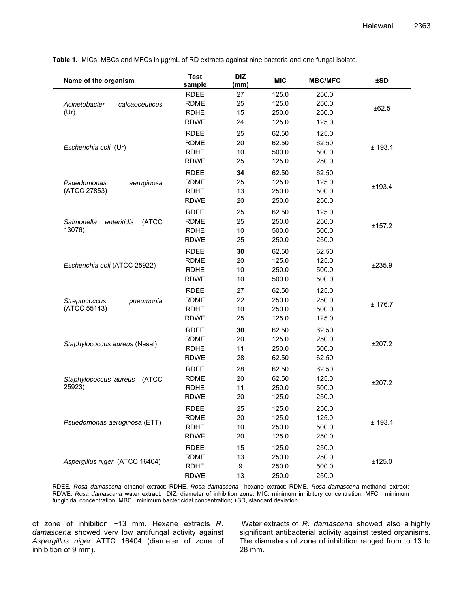**Name of the organism Test sample DIZ (mm) MIC MBC/MFC ±SD** *Acinetobacter calcaoceuticus*  (Ur) RDEE 27 125.0 250.0 ±62.5 RDME 25 125.0 250.0 RDHE 15 250.0 250.0 RDWE 24 125.0 125.0 *Escherichia coli* (Ur) RDEE 25 62.50 125.0 ± 193.4 RDME 20 62.50 62.50 RDHE 10 500.0 500.0 RDWE 25 125.0 250.0 *Psuedomonas aeruginosa* (ATCC 27853) RDEE **34** 62.50 62.50 ±193.4 RDME 25 125.0 125.0 RDHE 13 250.0 500.0 RDWE 20 250.0 250.0 *Salmonella enteritidis* (ATCC 13076) RDEE 25 62.50 125.0 ±157.2 RDME 25 250.0 250.0 RDHE 10 500.0 500.0 RDWE 25 250.0 250.0 *Escherichia coli* (ATCC 25922) RDEE **30** 62.50 62.50 ±235.9 RDME 20 125.0 125.0 RDHE 10 250.0 500.0 RDWE 10 500.0 500.0 *Streptococcus pneumonia*  (ATCC 55143) RDEE 27 62.50 125.0 ± 176.7 RDME 22 250.0 250.0 RDHE 10 250.0 500.0 RDWE 25 125.0 125.0 *Staphylococcus aureus* (Nasal) RDEE **30** 62.50 62.50 ±207.2 RDME 20 125.0 250.0 RDHE 11 250.0 500.0 RDWE 28 62.50 62.50 *Staphylococcus aureus* (ATCC 25923) RDEE 28 62.50 62.50 ±207.2 RDME 20 62.50 125.0 RDHE 11 250.0 500.0 RDWE 20 125.0 250.0 *Psuedomonas aeruginosa* (ETT) RDEE 25 125.0 250.0 ± 193.4 RDME 20 125.0 125.0 RDHE 10 250.0 500.0 RDWE 20 125.0 250.0 *Aspergillus niger* (ATCC 16404) RDEE 15 125.0 250.0 ±125.0 RDME 13 250.0 250.0 RDHE 9 250.0 500.0 RDWE 13 250.0 250.0

**Table 1.** MICs, MBCs and MFCs in μg/mL of RD extracts against nine bacteria and one fungal isolate.

RDEE, *Rosa damascena* ethanol extract; RDHE, *Rosa damascena* hexane extract; RDME, *Rosa damascena* methanol extract; RDWE, *Rosa damascena* water extract; DIZ, diameter of inhibition zone; MIC, minimum inhibitory concentration; MFC, minimum fungicidal concentration; MBC, minimum bactericidal concentration; ±SD, standard deviation.

of zone of inhibition ~13 mm. Hexane extracts *R*. *damascena* showed very low antifungal activity against *Aspergillus niger* ATTC 16404 (diameter of zone of inhibition of 9 mm).

Water extracts of *R*. *damascena* showed also a highly significant antibacterial activity against tested organisms. The diameters of zone of inhibition ranged from to 13 to 28 mm.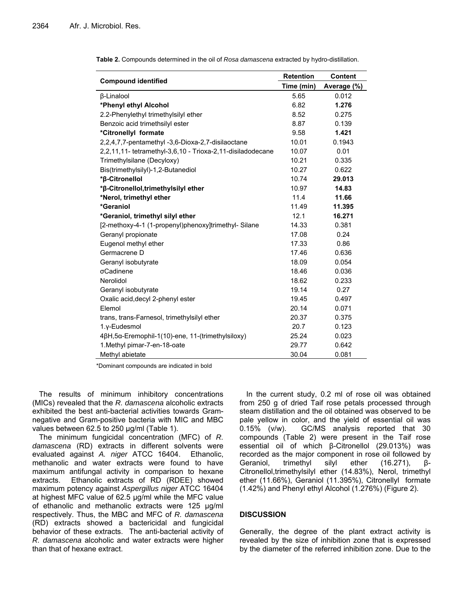| <b>Compound identified</b>                                 | <b>Retention</b> | <b>Content</b> |
|------------------------------------------------------------|------------------|----------------|
|                                                            | Time (min)       | Average (%)    |
| <b>ß-Linalool</b>                                          | 5.65             | 0.012          |
| *Phenyl ethyl Alcohol                                      | 6.82             | 1.276          |
| 2.2-Phenylethyl trimethylsilyl ether                       | 8.52             | 0.275          |
| Benzoic acid trimethsilyl ester                            | 8.87             | 0.139          |
| *Citronellyl formate                                       | 9.58             | 1.421          |
| 2,2,4,7,7-pentamethyl -3,6-Dioxa-2,7-disilaoctane          | 10.01            | 0.1943         |
| 2,2,11,11- tetramethyl-3,6,10 - Trioxa-2,11-disiladodecane | 10.07            | 0.01           |
| Trimethylsilane (Decyloxy)                                 | 10.21            | 0.335          |
| Bis(trimethylsilyl)-1,2-Butanediol                         | 10.27            | 0.622          |
| *β-Citronellol                                             | 10.74            | 29.013         |
| *β-Citronellol,trimethylsilyl ether                        | 10.97            | 14.83          |
| *Nerol, trimethyl ether                                    | 11.4             | 11.66          |
| *Geraniol                                                  | 11.49            | 11.395         |
| *Geraniol, trimethyl silyl ether                           | 12.1             | 16.271         |
| [2-methoxy-4-1 (1-propenyl)phenoxy]trimethyl- Silane       | 14.33            | 0.381          |
| Geranyl propionate                                         | 17.08            | 0.24           |
| Eugenol methyl ether                                       | 17.33            | 0.86           |
| Germacrene D                                               | 17.46            | 0.636          |
| Geranyl isobutyrate                                        | 18.09            | 0.054          |
| σCadinene                                                  | 18.46            | 0.036          |
| Nerolidol                                                  | 18.62            | 0.233          |
| Geranyl isobutyrate                                        | 19.14            | 0.27           |
| Oxalic acid, decyl 2-phenyl ester                          | 19.45            | 0.497          |
| Elemol                                                     | 20.14            | 0.071          |
| trans, trans-Farnesol, trimethylsilyl ether                | 20.37            | 0.375          |
| 1.y-Eudesmol                                               | 20.7             | 0.123          |
| 4βH, 5α-Eremophil-1(10)-ene, 11-(trimethylsiloxy)          | 25.24            | 0.023          |
| 1. Methyl pimar-7-en-18-oate                               | 29.77            | 0.642          |
| Methyl abietate                                            | 30.04            | 0.081          |

**Table 2.** Compounds determined in the oil of *Rosa damascena* extracted by hydro-distillation.

\*Dominant compounds are indicated in bold

The results of minimum inhibitory concentrations (MICs) revealed that the *R. damascena* alcoholic extracts exhibited the best anti-bacterial activities towards Gramnegative and Gram-positive bacteria with MIC and MBC values between 62.5 to 250 μg/ml (Table 1).

The minimum fungicidal concentration (MFC) of *R. damascena* (RD) extracts in different solvents were evaluated against *A. niger* ATCC 16404. Ethanolic, methanolic and water extracts were found to have maximum antifungal activity in comparison to hexane extracts. Ethanolic extracts of RD (RDEE) showed maximum potency against *Aspergillus niger* ATCC 16404 at highest MFC value of 62.5 µg/ml while the MFC value of ethanolic and methanolic extracts were 125 µg/ml respectively. Thus, the MBC and MFC of *R. damascena* (RD) extracts showed a bactericidal and fungicidal behavior of these extracts. The anti-bacterial activity of *R. damascena* alcoholic and water extracts were higher than that of hexane extract.

In the current study, 0.2 ml of rose oil was obtained from 250 g of dried Taif rose petals processed through steam distillation and the oil obtained was observed to be pale yellow in color, and the yield of essential oil was 0.15% (v/w). GC/MS analysis reported that 30 compounds (Table 2) were present in the Taif rose essential oil of which β-Citronellol (29.013%) was recorded as the major component in rose oil followed by Geraniol, trimethyl silyl ether (16.271), β-Citronellol,trimethylsilyl ether (14.83%), Nerol, trimethyl ether (11.66%), Geraniol (11.395%), Citronellyl formate (1.42%) and Phenyl ethyl Alcohol (1.276%) (Figure 2).

#### **DISCUSSION**

Generally, the degree of the plant extract activity is revealed by the size of inhibition zone that is expressed by the diameter of the referred inhibition zone. Due to the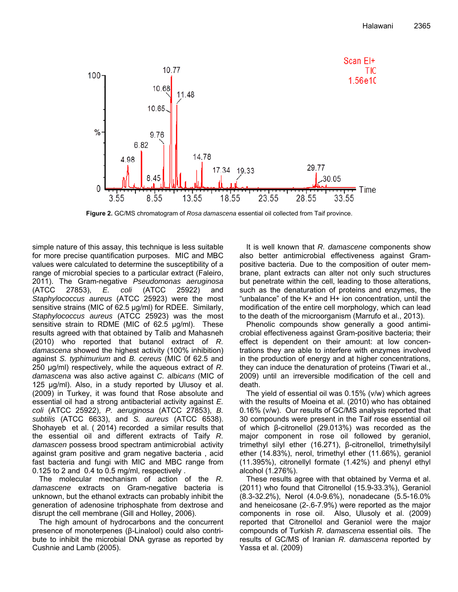

**Figure 2.** GC/MS chromatogram of *Rosa damascena* essential oil collected from Taif province.

simple nature of this assay, this technique is less suitable for more precise quantification purposes. MIC and MBC values were calculated to determine the susceptibility of a range of microbial species to a particular extract (Faleiro, 2011). The Gram-negative *Pseudomonas aeruginosa* (ATCC 27853), *E. coli* (ATCC 25922) and *Staphylococcus aureus* (ATCC 25923) were the most sensitive strains (MIC of 62.5 µg/ml) for RDEE. Similarly, *Staphylococcus aureus* (ATCC 25923) was the most sensitive strain to RDME (MIC of 62.5 µg/ml). These results agreed with that obtained by Talib and Mahasneh (2010) who reported that butanol extract of *R. damascena* showed the highest activity (100% inhibition) against *S. typhimurium* and *B. cereus* (MIC 0f 62.5 and 250 µg/ml) respectively, while the aqueous extract of *R. damascena* was also active against *C. albicans* (MIC of 125 µg/ml). Also, in a study reported by Ulusoy et al. (2009) in Turkey, it was found that Rose absolute and essential oil had a strong antibacterial activity against *E. coli* (ATCC 25922), *P. aeruginosa* (ATCC 27853), *B. subtilis* (ATCC 6633), and *S. aureus* (ATCC 6538). Shohayeb et al. ( 2014) recorded a similar results that the essential oil and different extracts of Taify *R. damascen* possess brood spectram antimicrobial activity against gram positive and gram negative bacteria , acid fast bacteria and fungi with MIC and MBC range from 0.125 to 2 and 0.4 to 0.5 mg/ml, respectively .

The molecular mechanism of action of the *R. damascene* extracts on Gram-negative bacteria is unknown, but the ethanol extracts can probably inhibit the generation of adenosine triphosphate from dextrose and disrupt the cell membrane (Gill and Holley, 2006).

The high amount of hydrocarbons and the concurrent presence of monoterpenes (β-Linalool) could also contribute to inhibit the microbial DNA gyrase as reported by Cushnie and Lamb (2005).

It is well known that *R. damascene* components show also better antimicrobial effectiveness against Grampositive bacteria. Due to the composition of outer membrane, plant extracts can alter not only such structures but penetrate within the cell, leading to those alterations, such as the denaturation of proteins and enzymes, the "unbalance" of the K+ and H+ ion concentration, until the modification of the entire cell morphology, which can lead to the death of the microorganism (Marrufo et al., 2013).

Phenolic compounds show generally a good antimicrobial effectiveness against Gram-positive bacteria; their effect is dependent on their amount: at low concentrations they are able to interfere with enzymes involved in the production of energy and at higher concentrations, they can induce the denaturation of proteins (Tiwari et al., 2009) until an irreversible modification of the cell and death.

The yield of essential oil was 0.15% (v/w) which agrees with the results of Moeina et al. (2010) who has obtained 0.16% (v/w). Our results of GC/MS analysis reported that 30 compounds were present in the Taif rose essential oil of which β-citronellol (29.013%) was recorded as the major component in rose oil followed by geraniol, trimethyl silyl ether (16.271), β-citronellol, trimethylsilyl ether (14.83%), nerol, trimethyl ether (11.66%), geraniol (11.395%), citronellyl formate (1.42%) and phenyl ethyl alcohol (1.276%).

These results agree with that obtained by Verma et al. (2011) who found that Citronellol (15.9-33.3%), Geraniol (8.3-32.2%), Nerol (4.0-9.6%), nonadecane (5.5-16.0% and heneicosane (2-.6-7.9%) were reported as the major components in rose oil. Also, Ulusoly et al. (2009) reported that Citronellol and Geraniol were the major compounds of Turkish *R. damascena* essential oils. The results of GC/MS of Iranian *R. damascena* reported by Yassa et al. (2009)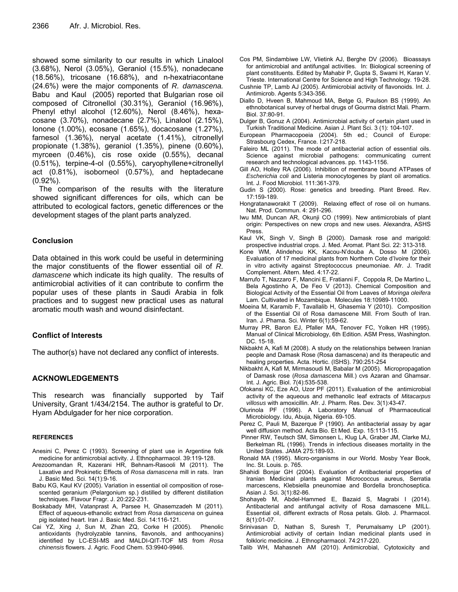showed some similarity to our results in which Linalool (3.68%), Nerol (3.05%), Geraniol (15.5%), nonadecane (18.56%), tricosane (16.68%), and n-hexatriacontane (24.6%) were the major components of *R. damascena.* Babu and Kaul (2005) reported that Bulgarian rose oil composed of Citronellol (30.31%), Geraniol (16.96%), Phenyl ethyl alcohol (12.60%), Nerol (8.46%), hexacosane (3.70%), nonadecane (2.7%), Linalool (2.15%), Ionone (1.00%), ecosane (1.65%), docacosane (1.27%), farnesol (1.36%), neryal acetate (1.41%), citronellyl propionate (1.38%), geraniol (1.35%), pinene (0.60%), myrceen (0.46%), cis rose oxide (0.55%), decanal (0.51%), terpine-4-ol (0.55%), caryophyllene+citronellyl act (0.81%), isoborneol (0.57%), and heptadecane (0.92%).

The comparison of the results with the literature showed significant differences for oils, which can be attributed to ecological factors, genetic differences or the development stages of the plant parts analyzed.

#### **Conclusion**

Data obtained in this work could be useful in determining the major constituents of the flower essential oil of *R. damascene* which indicate its high quality. The results of antimicrobial activities of it can contribute to confirm the popular uses of these plants in Saudi Arabia in folk practices and to suggest new practical uses as natural aromatic mouth wash and wound disinfectant.

## **Conflict of Interests**

The author(s) have not declared any conflict of interests.

## **ACKNOWLEDGEMENTS**

This research was financially supported by Taif University, Grant 1/434/2154. The author is grateful to Dr. Hyam Abdulgader for her nice corporation.

#### **REFERENCES**

- Anesini C, Perez C (1993). Screening of plant use in Argentine folk medicine for antimicrobial activity. J. Ethnopharmacol. 39:119-128.
- Arezoomandan R, Kazerani HR, Behnam-Rasooli M (2011). The Laxative and Prokinetic Effects of *Rosa damascena* mill in rats. Iran J. Basic Med. Sci. 14(1):9-16.
- Babu KG, Kaul KV (2005). Variation in essential oil composition of rosescented geranium (Pelargonium sp.) distilled by different distillation techniques. Flavour Fragr. J. 20:222-231.
- Boskabady MH, Vatanprast A, Parsee H, Ghasemzadeh M (2011). Effect of aqueous-ethanolic extract from *Rosa damascena* on guinea pig isolated heart. Iran J. Basic Med. Sci. 14:116-121.
- Cai YZ, Xing J, Sun M, Zhan ZQ, Corke H (2005). Phenolic antioxidants (hydrolyzable tannins, flavonols, and anthocyanins) identified by LC-ESI-MS and MALDI-QIT-TOF MS from *Rosa chinensis* flowers. J. Agric. Food Chem. 53:9940-9946.
- Cos PM, Sindambiwe LW, Vlietink AJ, Berghe DV (2006). Bioassays for antimicrobial and antifungal activities. In: Biological screening of plant constituents. Edited by Mahabir P, Gupta S, Swami H, Karan V. Trieste. International Centre for Science and High Technology. 19-28.
- Cushnie TP, Lamb AJ (2005). Antimicrobial activity of flavonoids. Int. J. Antimicrob. Agents 5:343-356.
- Diallo D, Hveen B, Mahmoud MA, Betge G, Paulson BS (1999). An ethnobotanical survey of herbal drugs of Gourma district Mali. Pharm. Biol. 37:80-91.
- Dulger B, Gonuz A (2004). Antimicrobial activity of certain plant used in Turkish Traditional Medicine. Asian J. Plant Sci. 3 (1): 104-107.
- European Pharmacopoeia (2004). 5th ed.; Council of Europe: Strasbourg Cedex, France. I:217-218.
- Faleiro ML (2011). The mode of antibacterial action of essential oils. Science against microbial pathogens: communicating current research and technological advances. pp. 1143-1156.
- Gill AO, Holley RA (2006). Inhibition of membrane bound ATPases of *Escherichia coli* and Listeria monocytogenes by plant oil aromatics. Int. J. Food Microbiol. 111:361-379.
- Gudin S (2000). Rose: genetics and breeding. Plant Breed. Rev. 17:159-189.
- Hongratanaworakit T (2009). Relaxing effect of rose oil on humans. Nat. Prod. Commun. 4: 291-296.
- Iwu MM, Duncan AR, Okunji CO (1999). New antimicrobials of plant origin: Perspectives on new crops and new uses. Alexandra, ASHS Press.
- Kaul VK, Singh V, Singh B (2000). Damask rose and marigold: prospective industrial crops. J. Med. Aromat. Plant Sci. 22: 313-318.
- Kone WM, Atindehou KK, Kacou-N'douba A, Dosso M (2006). Evaluation of 17 medicinal plants from Northern Cote d'Ivoire for their in vitro activity against Streptococcus pneumoniae. Afr. J. Tradit Complement. Altern. Med. 4:17-22.
- Marrufo T, Nazzaro F, Mancini E, Fratianni F, Coppola R, De Martino L, Bela Agostinho A, De Feo V (2013). Chemical Composition and Biological Activity of the Essential Oil from Leaves of *Moringa oleifera* Lam. Cultivated in Mozambique. Molecules 18:10989-11000.
- Moeina M, Karamib F, Tavallalib H, Ghasemia Y (2010). Composition of the Essential Oil of Rosa damascene Mill. From South of Iran. Iran. J. Phama. Sci. Winter 6(1):59-62.
- Murray PR, Baron EJ, Pfaller MA, Tenover FC, Yolken HR (1995). Manual of Clinical Microbiology, 6th Edition. ASM Press, Washington. DC. 15-18.
- Nikbakht A, Kafi M (2008). A study on the relationships between Iranian people and Damask Rose (Rosa damascena) and its therapeutic and healing properties. Acta. Hortic. (ISHS). 790:251-254
- Nikbakht A, Kafi M, Mirmasoudi M, Babalar M (2005). Micropropagation of Damask rose (*Rosa damascena* Mill.) cvs Azaran and Ghamsar. Int. J. Agric. Biol. 7(4):535-538.
- Ofokansi KC, Eze AO, Uzor PF (2011). Evaluation of the antimicrobial activity of the aqueous and methanolic leaf extracts of *Mitacarpus villosus* with amoxicillin. Afr. J. Pharm. Res. Dev*.* 3(1):43-47.
- Olurinola PF (1996). A Laboratory Manual of Pharmaceutical Microbiology. Idu, Abuja, Nigeria. 69-105.
- Perez C, Pauli M, Bazerque P (1990). An antibacterial assay by agar well diffusion method. Acta Bio. Et Med. Exp. 15:113-115.
- Pinner RW, Teutsch SM, Simonsen L, Klug LA, Graber JM, Clarke MJ, Berkelman RL (1996). Trends in infectious diseases mortality in the United States. JAMA 275:189-93.
- Ronald MA (1995). Micro-organisms in our World. Mosby Year Book, Inc. St. Louis. p. 765.
- Shahidi Bonjar GH (2004). Evaluation of Antibacterial properties of Iranian Medicinal plants against Micrococcus aureus, Serratia marcescens, Klebsiella pneunomiae and Bordella bronchoseptica. Asian J. Sci. 3(1):82-86.
- Shohayeb M, Abdel-Hammed E, Bazaid S, Magrabi I (2014). Antibacterial and antifungal activity of Rosa damascene MILL. Essential oil, different extracts of Rosa petals. Glob. J. Pharmacol. 8(1):01-07.
- Srinivasan D, Nathan S, Suresh T, Perumalsamy LP (2001). Antimicrobial activity of certain Indian medicinal plants used in folkloric medicine. J. Ethnopharmacol. 74:217-220.
- Talib WH, Mahasneh AM (2010). Antimicrobial, Cytotoxicity and